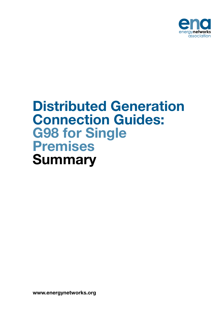

# Distributed Generation Connection Guides: G98 for Single Premises **Summary**

www.energynetworks.org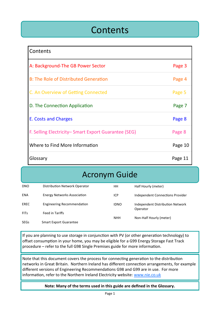### **Contents**

| Contents                                            |         |
|-----------------------------------------------------|---------|
| A: Background-The GB Power Sector                   | Page 3  |
| <b>B: The Role of Distributed Generation</b>        | Page 4  |
| C. An Overview of Getting Connected                 | Page 5  |
| D. The Connection Application                       | Page 7  |
| E. Costs and Charges                                | Page 8  |
| F. Selling Electricity-Smart Export Guarantee (SEG) | Page 8  |
| Where to Find More Information                      | Page 10 |
| Glossary                                            | Page 11 |

### Acronym Guide

| <b>DNO</b>  | Distribution Network Operator      | HН          | Half Hourly (meter)                          |
|-------------|------------------------------------|-------------|----------------------------------------------|
| ENA         | <b>Energy Networks Association</b> | ICP         | Independent Connections Provider             |
| EREC        | <b>Engineering Recommendation</b>  | <b>IDNO</b> | Independent Distribution Network<br>Operator |
| <b>FITS</b> | Feed in Tariffs                    | <b>NHH</b>  | Non-Half Hourly (meter)                      |
| <b>SEGs</b> | <b>Smart Export Guarantee</b>      |             |                                              |

If you are planning to use storage in conjunction with PV (or other generation technology) to offset consumption in your home, you may be eligible for a G99 Energy Storage Fast Track procedure – refer to the full G98 Single Premises guide for more information.

Note that this document covers the process for connecting generation to the distribution networks in Great Britain. Northern Ireland has different connection arrangements, for example different versions of Engineering Recommendations G98 and G99 are in use. For more information, refer to the Northern Ireland Electricity website: [www.nie.co.uk](http://www.nie.co.uk)

#### **Note: Many of the terms used in this guide are defined in the Glossary.**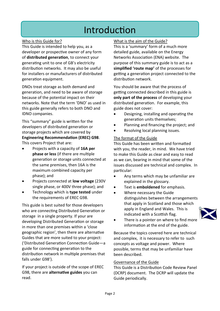### Introduction

#### Who is this Guide for?

This Guide is intended to help you, as a developer or prospective owner of any form of **distributed generation**, to connect your generating unit to one of GB's electricity distribution networks. It may also be useful for installers or manufacturers of distributed generation equipment.

DNOs treat storage as both demand and generation, and need to be aware of storage because of the potential impact on their networks. Note that the term 'DNO' as used in this guide generally refers to both DNO and IDNO companies.

This "summary" guide is written for the developers of distributed generation or storage projects which are covered by **Engineering Recommendation (EREC) G98**. This covers Project that are:

- Projects with a capacity of **16A per phase or less** (if there are multiple generation or storage units connected at the same premises, then 16A is the maximum combined capacity per phase); and
- Projects connected at **low voltage** (230V single phase, or 400V three phase); and
- Technology which is **type tested** under the requirements of EREC G98.

This guide is best suited for those developers who are connecting Distributed Generation or storage in a single property. If your are developing Distributed Generation or storage in more than one premises within a 'close geographic region', then there are alternative Guides that are more suited to your project: ('Distributed Generation Connection Guide—a guide for connecting generation to the distribution network in multiple premises that falls under G98').

If your project is outside of the scope of EREC G98, there are **alternative guides** you can read.

#### What is the aim of the Guide?

This is a 'summary' form of a much more detailed guide, available on the Energy Networks Association (ENA) website. The purpose of this summary guide is to act as a **simplified 'route map'** of the processes for getting a generation project connected to the distribution network.

You should be aware that the process of getting connected described in this guide is **only part of the process** of developing your distributed generation. For example, this guide does not cover:

- Designing, installing and operating the generation units themselves;
- Planning and financing the project; and
- Resolving local planning issues.

#### The format of the Guide

This Guide has been written and formatted with you, the reader, in mind. We have tried to make this Guide as clear and easy to read as we can, bearing in mind that some of the issues discussed are technical and complex. In particular:

- Any terms which may be unfamiliar are explained in the glossary.
- Text is **emboldened** for emphasis.
- Where necessary the Guide distinguishes between the arrangements that apply in Scotland and those which apply in England and Wales. This is indicated with a Scottish flag.



There is a pointer on where to find more information at the end of the guide.

Because the topics covered here are technical and complex, it is necessary to refer to such concepts as voltage and power. Where possible, terms that may be unfamiliar have been described.

#### Governance of the Guide

This Guide is a Distribution Code Review Panel (DCRP) document. The DCRP will update the Guide periodically.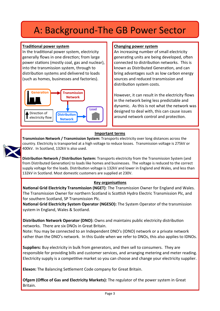### A: Background-The GB Power Sector

#### **Traditional power system**

In the traditional power system, electricity generally flows in one direction; from large power stations (mostly coal, gas and nuclear), into the transmission system, through to distribution systems and delivered to loads (such as homes, businesses and factories).



#### **Changing power system**

An increasing number of small electricity generating units are being developed, often connected to distribution networks. This is known as Distributed Generation, and can bring advantages such as low carbon energy sources and reduced transmission and distribution system costs.

However, it can result in the electricity flows in the network being less predictable and dynamic. As this is not what the network was designed to deal with, this can cause issues around network control and protection.

#### **Important terms**

**Transmission Network / Transmission System:** Transports electricity over long distances across the country. Electricity is transported at a high voltage to reduce losses. Transmission voltage is 275kV or 400kV. In Scotland, 132kV is also used.

**Distribution Network / Distribution System:** Transports electricity from the Transmission System (and from Distributed Generation) to loads like homes and businesses. The voltage is reduced to the correct supply voltage for the loads. Distribution voltage is 132kV and lower in England and Wales, and less than 132kV in Scotland. Most domestic customers are supplied at 230V.

#### **Key organisations**

**National Grid Electricity Transmission (NGET)**: The Transmission Owner for England and Wales. The Transmission Owner for northern Scotland is Scottish Hydro Electric Transmission Plc, and for southern Scotland, SP Transmission Plc.

**National Grid Electricity System Operator (NGESO):** The System Operator of the transmission system in England, Wales & Scotland.

**Distribution Network Operator (DNO):** Owns and maintains public electricity distribution networks. There are six DNOs in Great Britain.

Note: You may be connected to an Independent DNO's (IDNO) network or a private network rather than the DNO's network. In this Guide when we refer to DNOs, this also applies to IDNOs.

**Suppliers:** Buy electricity in bulk from generators, and then sell to consumers. They are responsible for providing bills and customer services, and arranging metering and meter reading. Electricity supply is a competitive market so you can choose and change your electricity supplier.

**Elexon:** The Balancing Settlement Code company for Great Britain.

**Ofgem (Office of Gas and Electricity Markets):** The regulator of the power system in Great Britain.

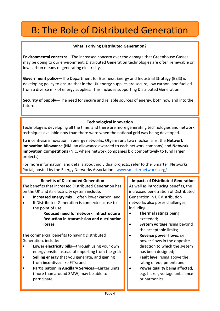## B: The Role of Distributed Generation

#### **What is driving Distributed Generation?**

**Environmental concerns**—The increased concern over the damage that Greenhouse Gasses may be doing to our environment. Distributed Generation technologies are often renewable or low carbon means of generating electricity.

**Government policy**—The Department for Business, Energy and Industrial Strategy (BEIS) is developing policy to ensure that in the UK energy supplies are secure, low carbon, and fuelled from a diverse mix of energy supplies. This includes supporting Distributed Generation.

**Security of Supply**—The need for secure and reliable sources of energy, both now and into the future.

#### **Technological innovation**

Technology is developing all the time, and there are more generating technologies and network techniques available now than there were when the national grid was being developed.

To incentivise innovation in energy networks, Ofgem runs two mechanisms: the **Network Innovation Allowance** (NIA, an allowance awarded to each network company) and **Network Innovation Competitions** (NIC, where network companies bid competitively to fund larger projects).

For more information, and details about individual projects, refer to the Smarter Networks Portal, hosted by the Energy Networks Association: [www.smarternetworks.org/](http://www.smarternetworks.org/)

#### **Benefits of Distributed Generation**

The benefits that increased Distributed Generation has on the UK and its electricity system include:

- **Increased energy mix** —often lower carbon; and
- If Distributed Generation is connected close to the point of use,
	- − **Reduced need for network infrastructure**
	- − **Reduction in transmission and distribution losses.**

The commercial benefits to having Distributed Generation, include:

- Lower electricity bills-through using your own energy onsite instead of importing from the grid;
- **Selling energy** that you generate, and gaining from **incentives** like FITs; and
- **Participation in Ancillary Services**—Larger units (more than around 3MW) may be able to participate.

#### **Impacts of Distributed Generation**

As well as introducing benefits, the increased penetration of Distributed Generation in UK distribution networks also poses challenges, including:

- **Thermal ratings** being exceeded;
- **System voltage** rising beyond the acceptable limits;
- **Reverse power flows**, i.e. power flows in the opposite direction to which the system has been designed;
- **Fault level** rising above the rating of equipment; and
- **Power quality** being affected, e.g. flicker, voltage unbalance or harmonics.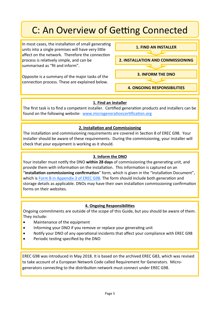## C: An Overview of Getting Connected

In most cases, the installation of small generating units into a single premises will have very little affect on the network. Therefore the connection process is relatively simple, and can be summarised as "fit and inform".

Opposite is a summary of the major tasks of the connection process. These are explained below.



#### **1. Find an installer**

The first task is to find a competent installer. Certified generation products and installers can be found on the following website: [www.microgenerationcertification.org](http://www.microgenerationcertification.org/)

#### **2. Installation and Commissioning**

The installation and commissioning requirements are covered in Section 8 of EREC G98. Your installer should be aware of these requirements. During the commissioning, your installer will check that your equipment is working as it should.

#### **3. Inform the DNO**

Your installer must notify the DNO **within 28 days** of commissioning the generating unit, and provide them with information on the installation. This information is captured on an "**installation commissioning confirmation**" form, which is given in the "Installation Document", which is [Form B in Appendix 3 of EREC G98](https://www.energynetworks.org/assets/images/Resource%20library/ENA_EREC_G98_Issue_1_Amendment_6_(2021).pdf). The form should include both generation and storage details as applicable. DNOs may have their own installation commissioning confirmation forms on their websites.

#### **4. Ongoing Responsibilities**

Ongoing commitments are outside of the scope of this Guide, but you should be aware of them. They include:

- Maintenance of the equipment
- Informing your DNO if you remove or replace your generating unit
- Notify your DNO of any operational incidents that affect your compliance with EREC G98
- Periodic testing specified by the DNO

EREC G98 was introduced in May 2018. It is based on the archived EREC G83, which was revised to take account of a European Network Code called Requirement for Generators. Microgenerators connecting to the distribution network must connect under EREC G98.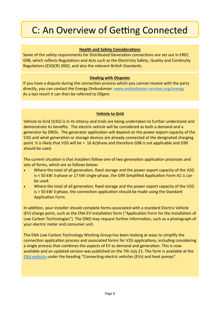## C: An Overview of Getting Connected

#### **Health and Safety Considerations**

Some of the safety requirements for Distributed Generation connections are set out in EREC G98, which reflects Regulations and Acts such as the Electricity Safety, Quality and Continuity Regulations (ESQCR) 2002, and also the relevant British Standards.

#### **Dealing with Disputes**

If you have a dispute during the connection process which you cannot resolve with the party directly, you can contact the Energy Ombudsman: www.ombudsman-[services.org/energy](http://www.ombudsman-services.org/energy.html) As a last resort it can then be referred to Ofgem.

#### **Vehicle to Grid**

Vehicle to Grid (V2G) is in its infancy and trials are being undertaken to further understand and demonstrate its benefits. The electric vehicle will be considered as both a demand and a generator by DNOs. The generator application will depend on the power export capacity of the V2G and what generation or storage devices are already connected at the designated charging point. It is likely that V2G will be > 16 A/phase and therefore G98 is not applicable and G99 should be used.

The current situation is that installers follow one of two generation application processes and sets of forms, which are as follows below:

- Where the total of all generation, fixed storage and the power export capacity of the V2G is < 50 kW 3-phase or 17 kW single-phase, the G99 Simplified Application Form A1-1 can be used.
- Where the total of all generation, fixed storage and the power export capacity of the V2G is > 50 kW 3-phase, the connection application should be made using the Standard Application Form.

In addition, your installer should complete forms associated with a standard Electric Vehicle (EV) charge point, such as the ENA EV installation form ("Application Form for the Installation of Low Carbon Technologies"). The DNO may request further information, such as a photograph of your electric meter and consumer unit.

The ENA Low Carbon Technology Working Group has been looking at ways to simplify the connection application process and associated forms for V2G applications, including considering a single process that combines the aspects of EV as demand and generation. This is now available and an updated version was published on the 7th July 21. The form is available at the [ENA website](https://www.energynetworks.org/operating-the-networks/connecting-to-the-networks) under the heading "Connecting electric vehicles (EVs) and heat pumps".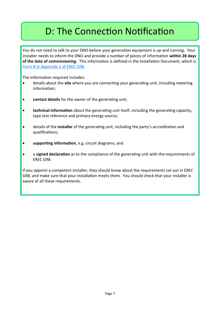## D: The Connection Notification

You do not need to talk to your DNO before your generation equipment is up and running. Your installer needs to inform the DNO and provide a number of pieces of information **within 28 days of the date of commissioning**. This information is defined in the Installation Document, which is [Form B in Appendix 3 of EREC G98.](https://www.energynetworks.org/assets/images/Resource%20library/ENA_EREC_G98_Issue_1_Amendment_6_(2021).pdf)

The information required includes:

- details about the **site** where you are connecting your generating unit, including metering information;
- **contact details** for the owner of the generating unit;
- **technical information** about the generating unit itself, including the generating capacity, type test reference and primary energy source;
- details of the **installer** of the generating unit, including the party's accreditation and qualifications;
- **supporting information**, e.g. circuit diagrams; and
- a **signed declaration** as to the compliance of the generating unit with the requirements of EREC G98.

If you appoint a competent installer, they should know about the requirements set out in EREC G98, and make sure that your installation meets them. You should check that your installer is aware of all these requirements.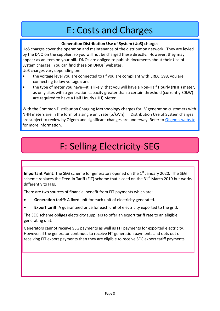### E: Costs and Charges

#### **Generation Distribution Use of System (UoS) charges**

UoS charges cover the operation and maintenance of the distribution network. They are levied by the DNO on the supplier, so you will not be charged these directly. However, they may appear as an item on your bill. DNOs are obliged to publish documents about their Use of System charges. You can find these on DNOs' websites.

UoS charges vary depending on:

- the voltage level you are connected to (if you are compliant with EREC G98, you are connecting to low voltage); and
- the type of meter you have—it is likely that you will have a Non-Half Hourly (NHH) meter, as only sites with a generation capacity greater than a certain threshold (currently 30kW) are required to have a Half Hourly (HH) Meter.

With the Common Distribution Charging Methodology charges for LV generation customers with NHH meters are in the form of a single unit rate (p/kWh). Distribution Use of System charges are subject to review by Ofgem and significant changes are underway. Refer to Ofgem'[s website](https://www.ofgem.gov.uk/electricity/distribution-networks/charging-arrangements) for more information.

## F: Selling Electricity-SEG

**Important Point**: The SEG scheme for generators opened on the 1<sup>st</sup> January 2020. The SEG scheme replaces the Feed-in Tariff (FIT) scheme that closed on the  $31<sup>st</sup>$  March 2019 but works differently to FITs.

There are two sources of financial benefit from FIT payments which are:

- **Generation tariff:** A fixed unit for each unit of electricity generated.
- **Export tariff:** A guaranteed price for each unit of electricity exported to the grid.

The SEG scheme obliges electricity suppliers to offer an export tariff rate to an eligible generating unit.

Generators cannot receive SEG payments as well as FIT payments for exported electricity. However, if the generator continues to receive FIT generation payments and opts out of receiving FIT export payments then they are eligible to receive SEG export tariff payments.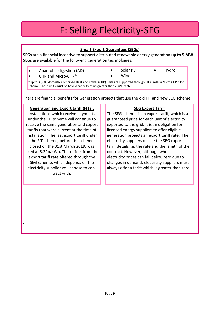## F: Selling Electricity-SEG

#### **Smart Export Guarantees (SEGs)**

SEGs are a financial incentive to support distributed renewable energy generation **up to 5 MW**. SEGs are available for the following generation technologies:

- Anaerobic digestion (AD)
	- CHP and Micro-CHP\*
- Solar PV • Wind
- Hydro
- \*Up to 30,000 domestic Combined Heat and Power (CHP) units are supported through FITs under a Micro CHP pilot scheme. These units must be have a capacity of no greater than 2 kW each.

There are financial benefits for Generation projects that use the old FIT and new SEG scheme.

#### **Generation and Export tariff (FITs):**

Installations which receive payments under the FIT scheme will continue to receive the same generation and export tariffs that were current at the time of installation The last export tariff under the FIT scheme, before the scheme closed on the 31st March 2019, was fixed at 5.24p/kWh. This differs from the export tariff rate offered through the SEG scheme, which depends on the electricity supplier you choose to contract with.

**.** 

#### **SEG Export Tariff**

The SEG scheme is an export tariff, which is a guaranteed price for each unit of electricity exported to the grid. It is an obligation for licensed energy suppliers to offer eligible generation projects an export tariff rate. The electricity suppliers decide the SEG export tariff details i.e. the rate and the length of the contract. However, although wholesale electricity prices can fall below zero due to changes in demand, electricity suppliers must always offer a tariff which is greater than zero.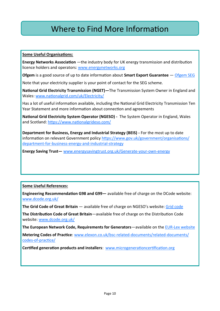### Where to Find More Information

#### **Some Useful Organisations:**

**Energy Networks Association** —the industry body for UK energy transmission and distribution licence holders and operators: [www.energynetworks.org](http://www.energynetworks.org/)

**Ofgem** is a good source of up to date information about **Smart Export Guarantee** — [Ofgem SEG](https://www.ofgem.gov.uk/environmental-and-social-schemes/smart-export-guarantee-seg/generators)

Note that your electricity supplier is your point of contact for the SEG scheme.

**National Grid Electricity Transmission (NGET)—**The Transmission System Owner in England and Wales: [www.nationalgrid.com/uk/Electricity/](https://www.nationalgrid.com/uk/electricity-transmission/)

Has a lot of useful information available, including the National Grid Electricity Transmission Ten Year Statement and more information about connection and agreements

**National Grid Electricity System Operator (NGESO) -** The System Operator in England, Wales and Scotland: <https://www.nationalgrideso.com/>

**Department for Business, Energy and Industrial Strategy (BEIS) -** For the most up to date information on relevant Government policy [https://www.gov.uk/government/organisations/](https://www.gov.uk/government/organisations/department-for-business-energy-and-industrial-strategy) [department](https://www.gov.uk/government/organisations/department-for-business-energy-and-industrial-strategy)-for-business-energy-and-industrial-strategy

**Energy Saving Trust—** [www.energysavingtrust.org.uk/Generate](https://energysavingtrust.org.uk/could-you-generate-your-own-energy/)-your-own-energy

#### **Some Useful References:**

**Engineering Recommendation G98 and G99—** available free of charge on the DCode website: [www.dcode.org.uk/](http://www.dcode.org.uk/)

**The Grid Code of Great Britain** — available free of charge on NGESO's website: [Grid code](https://www.nationalgrideso.com/industry-information/codes/grid-code) 

**The Distribution Code of Great Britain**—available free of charge on the Distribution Code website: [www.dcode.org.uk/](http://www.dcode.org.uk/)

**The European Network Code, Requirements for Generators**—available on the EUR-[Lex website](https://eur-lex.europa.eu/legal-content/EN/TXT/?uri=CELEX%3A32016R0631)

**Metering Codes of Practice**: [www.elexon.co.uk/bsc](http://www.elexon.co.uk/bsc-related-documents/related-documents/codes-of-practice/)-related-documents/related-documents/ codes-of-[practice/](http://www.elexon.co.uk/bsc-related-documents/related-documents/codes-of-practice/)

**Certified generation products and installers**: [www.microgenerationcertification.org](http://www.microgenerationcertification.org/)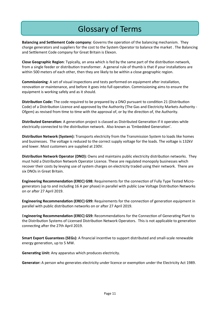### Glossary of Terms

**Balancing and Settlement Code company**: Governs the operation of the balancing mechanism. They charge generators and suppliers for the cost to the System Operator to balance the market . The Balancing and Settlement Code company for Great Britain is Elexon.

**Close Geographic Region**: Typically, an area which is fed by the same part of the distribution network, from a single feeder or distribution transformer. A general rule of thumb is that if your installations are within 500 meters of each other, then they are likely to be within a close geographic region.

**Commissioning**: A set of visual inspections and tests performed on equipment after installation, renovation or maintenance, and before it goes into full operation. Commissioning aims to ensure the equipment is working safely and as it should.

**Distribution Code:** The code required to be prepared by a DNO pursuant to condition 21 (Distribution Code) of a Distribution Licence and approved by the Authority (The Gas and Electricity Markets Authority - Ofgem) as revised from time to time with the approval of, or by the direction of, the Authority.

**Distributed Generation:** A generation project is classed as Distributed Generation if it operates while electrically connected to the distribution network. Also known as 'Embedded Generation'.

**Distribution Network (System):** Transports electricity from the Transmission System to loads like homes and businesses. The voltage is reduced to the correct supply voltage for the loads. The voltage is 132kV and lower. Most customers are supplied at 230V.

**Distribution Network Operator (DNO):** Owns and maintains public electricity distribution networks. They must hold a Distribution Network Operator Licence. These are regulated monopoly businesses which recover their costs by levying use of system charges on electricity traded using their network. There are six DNOs in Great Britain.

**Engineering Recommendation (EREC) G98:** Requirements for the connection of Fully Type Tested Microgenerators (up to and including 16 A per phase) in parallel with public Low Voltage Distribution Networks on or after 27 April 2019.

**Engineering Recommendation (EREC) G99:** Requirements for the connection of generation equipment in parallel with public distribution networks on or after 27 April 2019.

E**ngineering Recommendation (EREC) G59:** Recommendations for the Connection of Generating Plant to the Distribution Systems of Licensed Distribution Network Operators. This is not applicable to generation connecting after the 27th April 2019.

**Smart Export Guarantees (SEGs):** A financial incentive to support distributed and small-scale renewable energy generation, up to 5 MW.

**Generating Unit:** Any apparatus which produces electricity.

**Generator:** A person who generates electricity under licence or exemption under the Electricity Act 1989.